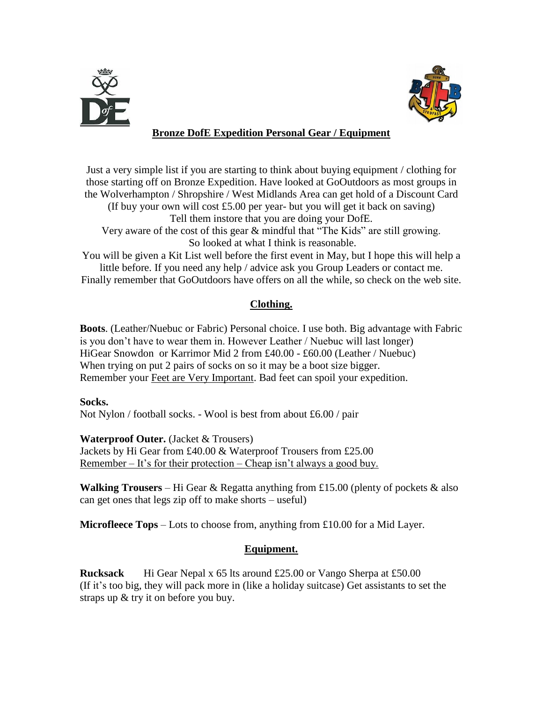



# **Bronze DofE Expedition Personal Gear / Equipment**

Just a very simple list if you are starting to think about buying equipment / clothing for those starting off on Bronze Expedition. Have looked at GoOutdoors as most groups in the Wolverhampton / Shropshire / West Midlands Area can get hold of a Discount Card (If buy your own will cost £5.00 per year- but you will get it back on saving)

Tell them instore that you are doing your DofE.

Very aware of the cost of this gear & mindful that "The Kids" are still growing. So looked at what I think is reasonable.

You will be given a Kit List well before the first event in May, but I hope this will help a little before. If you need any help / advice ask you Group Leaders or contact me.

Finally remember that GoOutdoors have offers on all the while, so check on the web site.

## **Clothing.**

**Boots**. (Leather/Nuebuc or Fabric) Personal choice. I use both. Big advantage with Fabric is you don't have to wear them in. However Leather / Nuebuc will last longer) HiGear Snowdon or Karrimor Mid 2 from £40.00 - £60.00 (Leather / Nuebuc) When trying on put 2 pairs of socks on so it may be a boot size bigger. Remember your Feet are Very Important. Bad feet can spoil your expedition.

#### **Socks.**

Not Nylon / football socks. - Wool is best from about £6.00 / pair

#### **Waterproof Outer.** (Jacket & Trousers)

Jackets by Hi Gear from £40.00 & Waterproof Trousers from £25.00 <u>Remember – It's for their protection – Cheap isn't always</u> a good buy.

**Walking Trousers** – Hi Gear & Regatta anything from £15.00 (plenty of pockets & also can get ones that legs zip off to make shorts – useful)

**Microfleece Tops** – Lots to choose from, anything from £10.00 for a Mid Layer.

## **Equipment.**

**Rucksack** Hi Gear Nepal x 65 lts around £25.00 or Vango Sherpa at £50.00 (If it's too big, they will pack more in (like a holiday suitcase) Get assistants to set the straps up & try it on before you buy.